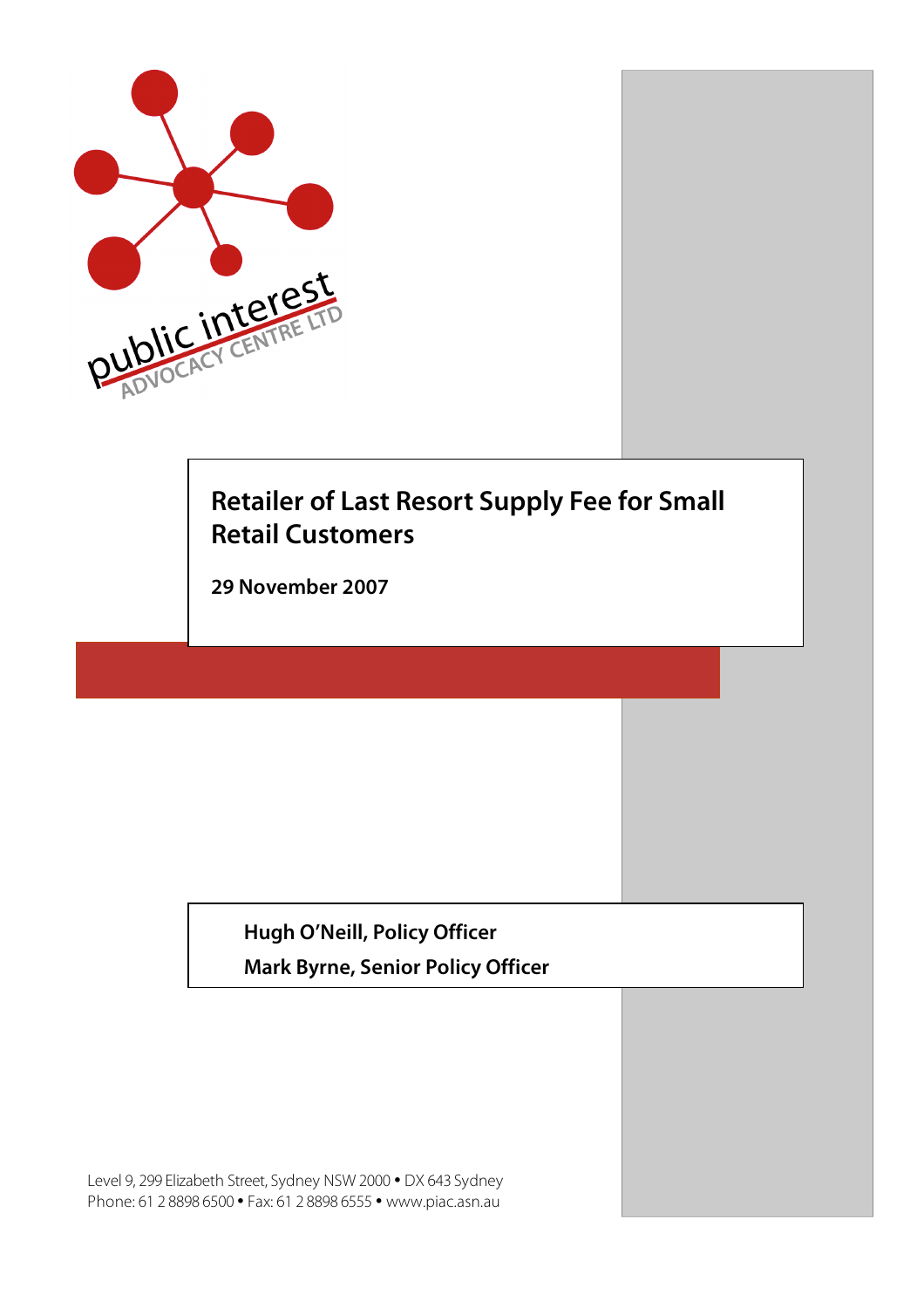

# **Retailer of Last Resort Supply Fee for Small Retail Customers**

**29 November 2007**

**Hugh O'Neill, Policy Officer**

**Mark Byrne, Senior Policy Officer**

Level 9, 299 Elizabeth Street, Sydney NSW 2000 • DX 643 Sydney Phone: 61 2 8898 6500 • Fax: 61 2 8898 6555 • www.piac.asn.au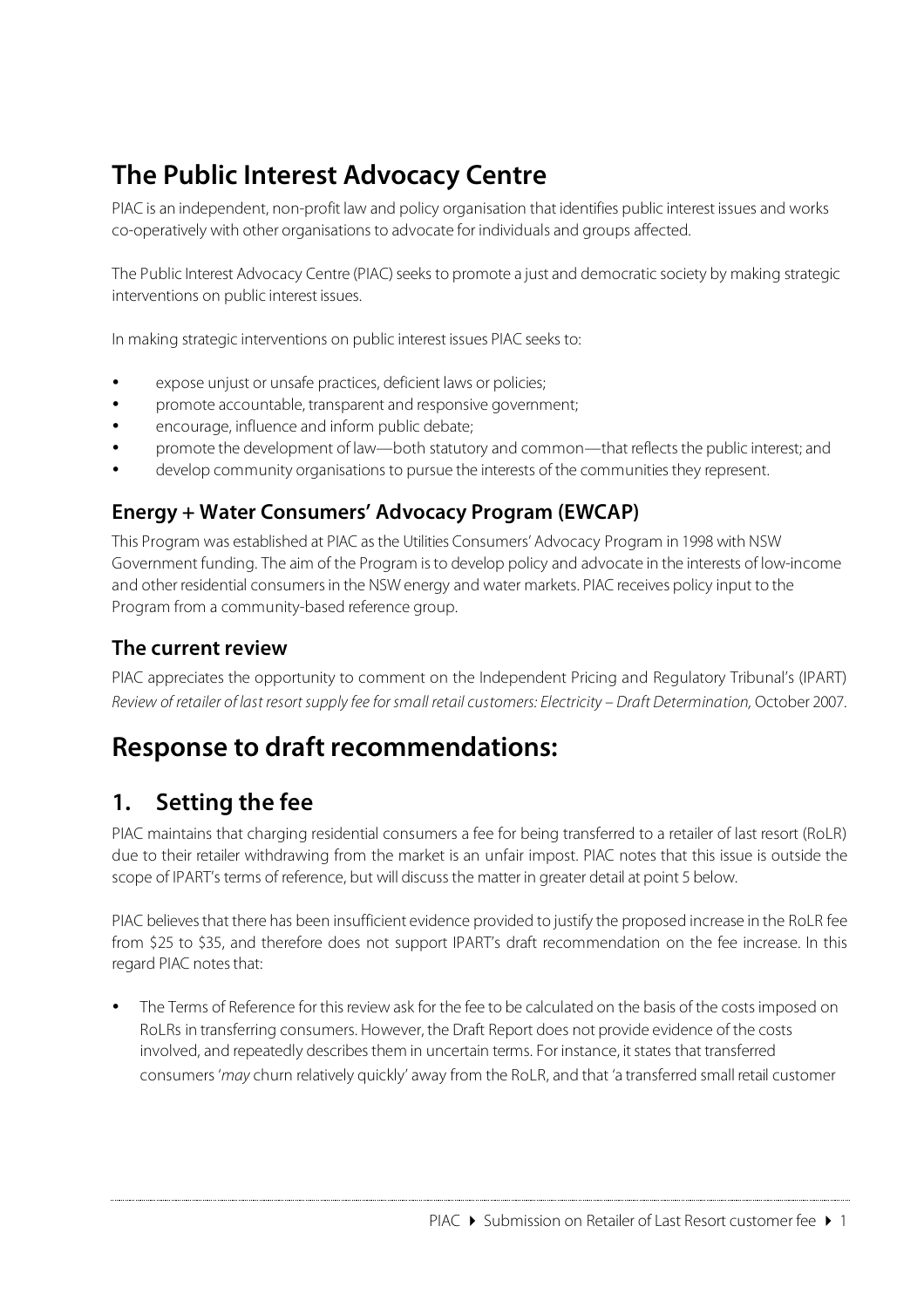# **The Public Interest Advocacy Centre**

PIAC is an independent, non-profit law and policy organisation that identifies public interest issues and works co-operatively with other organisations to advocate for individuals and groups affected.

The Public Interest Advocacy Centre (PIAC) seeks to promote a just and democratic society by making strategic interventions on public interest issues.

In making strategic interventions on public interest issues PIAC seeks to:

- expose unjust or unsafe practices, deficient laws or policies;
- promote accountable, transparent and responsive government;
- encourage, influence and inform public debate;
- promote the development of law—both statutory and common—that reflectsthe public interest; and
- develop community organisations to pursue the interests of the communitiesthey represent.

#### **Energy + Water Consumers' Advocacy Program (EWCAP)**

This Program was established at PIAC asthe Utilities Consumers' Advocacy Program in 1998 with NSW Government funding. The aim of the Program isto develop policy and advocate in the interests of low-income and other residential consumers in the NSW energy and water markets. PIAC receives policy input to the Program from a community-based reference group.

#### **The current review**

PIAC appreciates the opportunity to comment on the Independent Pricing and Regulatory Tribunal's (IPART) Review of retailer of last resort supply fee for small retail customers: Electricity – Draft Determination, October 2007.

## **Response to draft recommendations:**

#### **1. Setting the fee**

PIAC maintains that charging residential consumers a fee for being transferred to a retailer of last resort (RoLR) due to their retailer withdrawing from the market is an unfair impost. PIAC notes that this issue is outside the scope of IPART's terms of reference, but will discussthe matter in greater detail at point 5 below.

PIAC believes that there has been insufficient evidence provided to justify the proposed increase in the RoLR fee from \$25 to \$35, and therefore does not support IPART's draft recommendation on the fee increase. In this regard PIAC notes that:

The Terms of Reference for this review ask for the fee to be calculated on the basis of the costs imposed on RoLRs in transferring consumers. However, the Draft Report does not provide evidence of the costs involved, and repeatedly describes them in uncertain terms. For instance, it states that transferred consumers 'may churn relatively quickly' away from the RoLR, and that 'a transferred small retail customer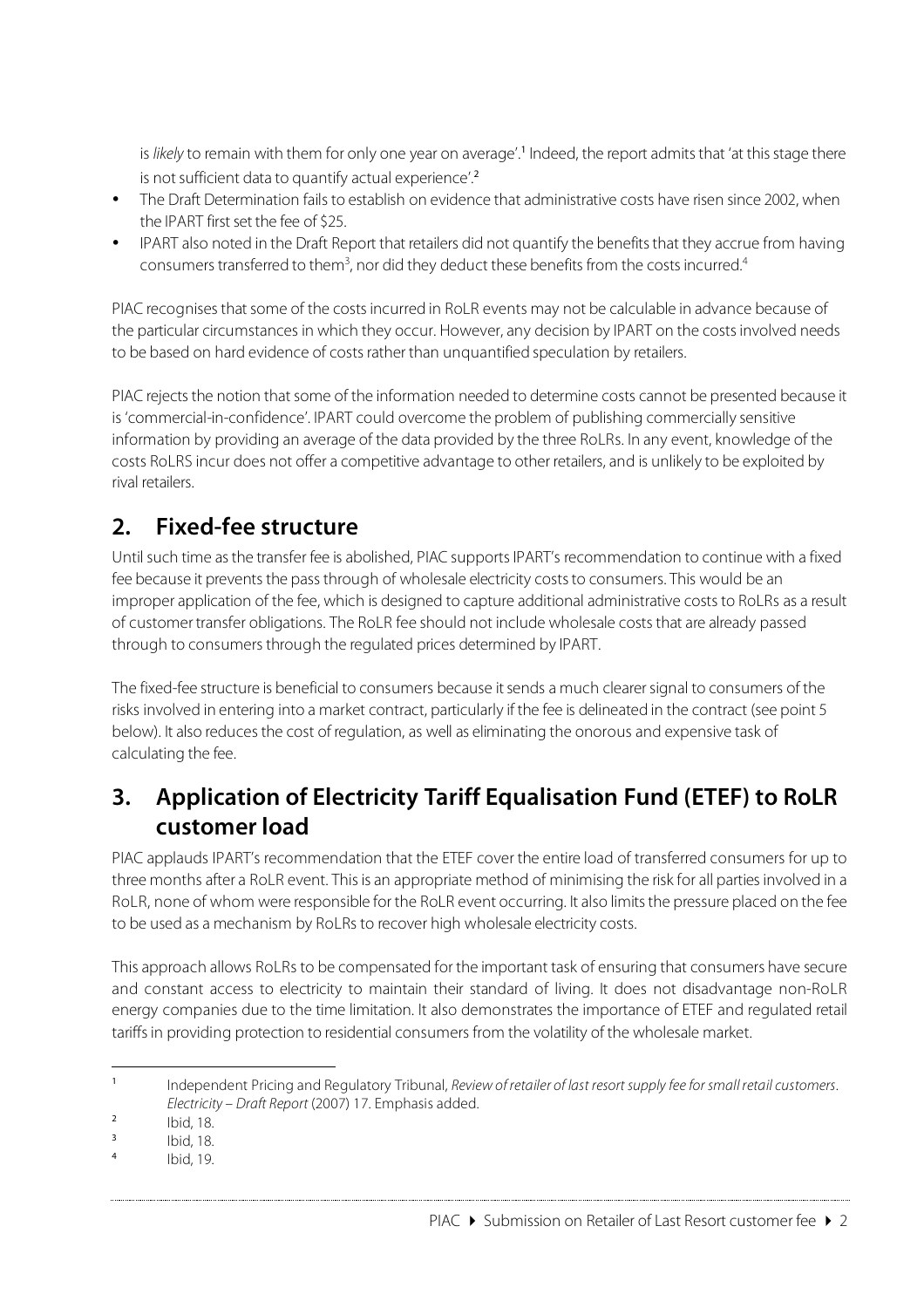is likely to remain with them for only one year on average'.<sup>1</sup> Indeed, the report admits that 'at this stage there is not sufficient data to quantify actual experience'.<sup>2</sup>

- The Draft Determination fails to establish on evidence that administrative costs have risen since 2002, when the IPART first set the fee of \$25.
- IPART also noted in the Draft Report that retailers did not quantify the benefits that they accrue from having consumers transferred to them<sup>3</sup>, nor did they deduct these benefits from the costs incurred.<sup>4</sup>

PIAC recognises that some of the costs incurred in RoLR events may not be calculable in advance because of the particular circumstances in which they occur. However, any decision by IPART on the costs involved needs to be based on hard evidence of costs rather than unquantified speculation by retailers.

PIAC rejects the notion that some of the information needed to determine costs cannot be presented because it is 'commercial-in-confidence'. IPART could overcome the problem of publishing commercially sensitive information by providing an average of the data provided by the three RoLRs. In any event, knowledge of the costs RoLRS incur does not offer a competitive advantage to other retailers, and is unlikely to be exploited by rival retailers.

### **2. Fixed-fee structure**

Until such time as the transfer fee is abolished, PIAC supports IPART's recommendation to continue with a fixed fee because it prevents the pass through of wholesale electricity costs to consumers. This would be an improper application of the fee, which is designed to capture additional administrative coststo RoLRs as a result of customer transfer obligations. The RoLR fee should not include wholesale costs that are already passed through to consumers through the regulated prices determined by IPART.

The fixed-fee structure is beneficial to consumers because it sends a much clearer signal to consumers of the risks involved in entering into a market contract, particularly if the fee is delineated in the contract (see point 5 below). It also reduces the cost of regulation, as well as eliminating the onorous and expensive task of calculating the fee.

## **3. Application of Electricity Tariff Equalisation Fund (ETEF) to RoLR customer load**

PIAC applauds IPART's recommendation that the ETEF cover the entire load of transferred consumers for up to three months after a RoLR event. This is an appropriate method of minimising the risk for all parties involved in a RoLR, none of whom were responsible for the RoLR event occurring. It also limitsthe pressure placed on the fee to be used as a mechanism by RoLRs to recover high wholesale electricity costs.

This approach allows RoLRs to be compensated for the important task of ensuring that consumers have secure and constant access to electricity to maintain their standard of living. It does not disadvantage non-RoLR energy companies due to the time limitation. It also demonstrates the importance of ETEF and regulated retail tariffsin providing protection to residential consumers from the volatility of the wholesale market.

 $\overline{a}$ <sup>1</sup> Independent Pricing and Regulatory Tribunal, Review of retailer of last resort supply fee for small retail customers. Electricity – Draft Report (2007) 17. Emphasis added.

 $\frac{2}{3}$  Ibid, 18.

 $18.4$  Ibid,  $18.4$ 

Ibid, 19.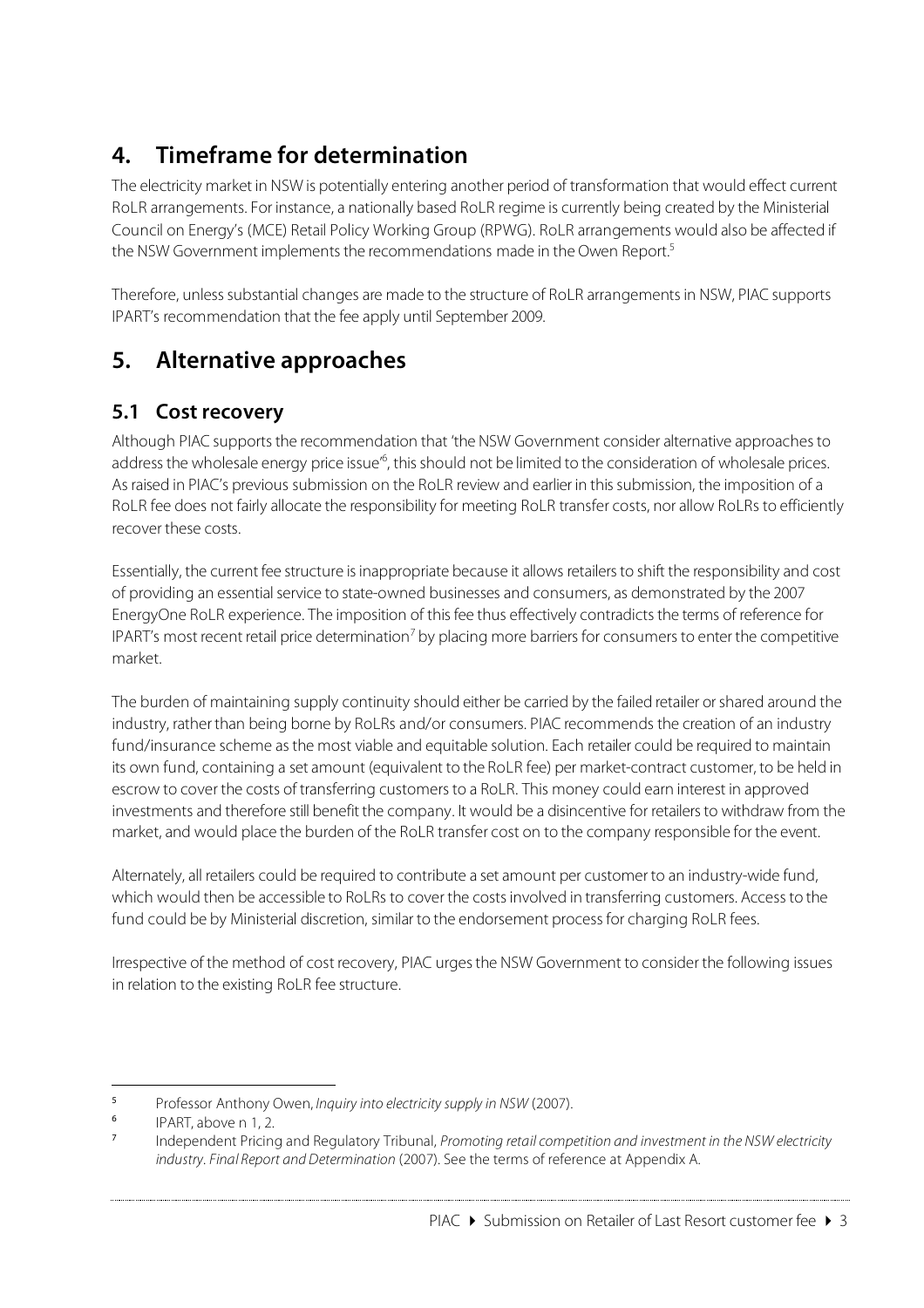## **4. Timeframe for determination**

The electricity market in NSW is potentially entering another period of transformation that would effect current RoLR arrangements. For instance, a nationally based RoLR regime is currently being created by the Ministerial Council on Energy's (MCE) Retail Policy Working Group (RPWG). RoLR arrangements would also be affected if the NSW Government implements the recommendations made in the Owen Report.<sup>5</sup>

Therefore, unless substantial changes are made to the structure of RoLR arrangements in NSW, PIAC supports IPART's recommendation that the fee apply until September 2009.

## **5. Alternative approaches**

#### **5.1 Cost recovery**

Although PIAC supports the recommendation that 'the NSW Government consider alternative approaches to address the wholesale energy price issue<sup>16</sup>, this should not be limited to the consideration of wholesale prices. Asraised in PIAC's previous submission on the RoLR review and earlier in thissubmission, the imposition of a RoLR fee does not fairly allocate the responsibility for meeting RoLR transfer costs, nor allow RoLRs to efficiently recover these costs.

Essentially, the current fee structure isinappropriate because it allows retailersto shift the responsibility and cost of providing an essential service to state-owned businesses and consumers, as demonstrated by the 2007 EnergyOne RoLR experience. The imposition of this fee thus effectively contradicts the terms of reference for IPART's most recent retail price determination<sup>7</sup> by placing more barriers for consumers to enter the competitive market.

The burden of maintaining supply continuity should either be carried by the failed retailer orshared around the industry, rather than being borne by RoLRs and/or consumers. PIAC recommends the creation of an industry fund/insurance scheme as the most viable and equitable solution. Each retailer could be required to maintain its own fund, containing a set amount (equivalent to the RoLR fee) per market-contract customer, to be held in escrow to cover the costs of transferring customersto a RoLR. This money could earn interest in approved investments and therefore still benefit the company. It would be a disincentive for retailers to withdraw from the market, and would place the burden of the RoLR transfer cost on to the company responsible for the event.

Alternately, all retailers could be required to contribute a set amount per customer to an industry-wide fund, which would then be accessible to RoLRs to cover the costsinvolved in transferring customers. Accessto the fund could be by Ministerial discretion, similar to the endorsement process for charging RoLR fees.

Irrespective of the method of cost recovery, PIAC urges the NSW Government to consider the following issues in relation to the existing RoLR fee structure.

#### PIAC  $\triangleright$  Submission on Retailer of Last Resort customer fee  $\triangleright$  3

 $\overline{\phantom{0}}$ <sup>5</sup> Professor Anthony Owen, *Inquiry into electricity supply in NSW* (2007).

 $\frac{6}{7}$  IPART, above n 1, 2.

Independent Pricing and Regulatory Tribunal, Promoting retail competition and investment in the NSW electricity industry. Final Report and Determination (2007). See the terms of reference at Appendix A.